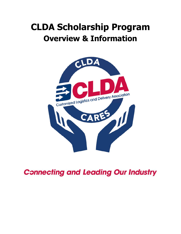# **CLDA Scholarship Program Overview & Information**



**Connecting and Leading Our Industry**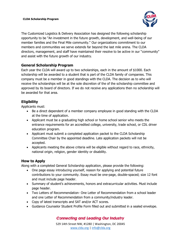

The Customized Logistics & Delivery Association has designed the following scholarship opportunity to be "An investment in the future growth, development, and well-being of our member families and the Final Mile community." Our organizations commitment to our members and communities we serve extends far beyond the last mile arena. The CLDA directors, management, and staff have maintained their resolve to be active in our "community" and assist with the future growth of our industry.

## **General Scholarship Program**

Each year the CLDA will award up to two scholarships, each in the amount of \$1000. Each scholarship will be awarded to a student that is part of the CLDA family of companies. This company must be a member in good standings with the CLDA. The decision as to who will receive the scholarships will be at the sole discretion of the of the scholarship committee and approved by its board of directors. If we do not receive any applications then no scholarship will be awarded for that area.

## **Eligibility**

Applicants must:

- Be a direct dependent of a member company employee in good standing with the CLDA at the time of application.
- Applicant must be a graduating high school or home school senior who meets the entrance requirements for an accredited college, university, trade school, or CDL driver education program.
- Applicant must submit a completed application packet to the CLDA Scholarship Committee Chair by the appointed deadline. Late application packets will not be accepted.
- Applicants meeting the above criteria will be eligible without regard to race, ethnicity, national origin, religion, gender identity or disability.

## **How to Apply**

Along with a completed General Scholarship application, please provide the following:

- One page essay introducing yourself, reason for applying and potential future contributions to your community. Essay must be one-page, double-spaced; size 12 font and must include page header.
- Summary of student's achievements, honors and extracurricular activities. Must include page header.
- Two Letters of Recommendation- One Letter of Recommendation from a school leader and one Letter of Recommendation from a community/industry leader.
- Copy of latest transcripts and SAT and/or ACT scores.
- Guidance Counselor Student Profile Form filled out and submitted in a sealed envelope.

# **Connecting and Leading Our Industry**